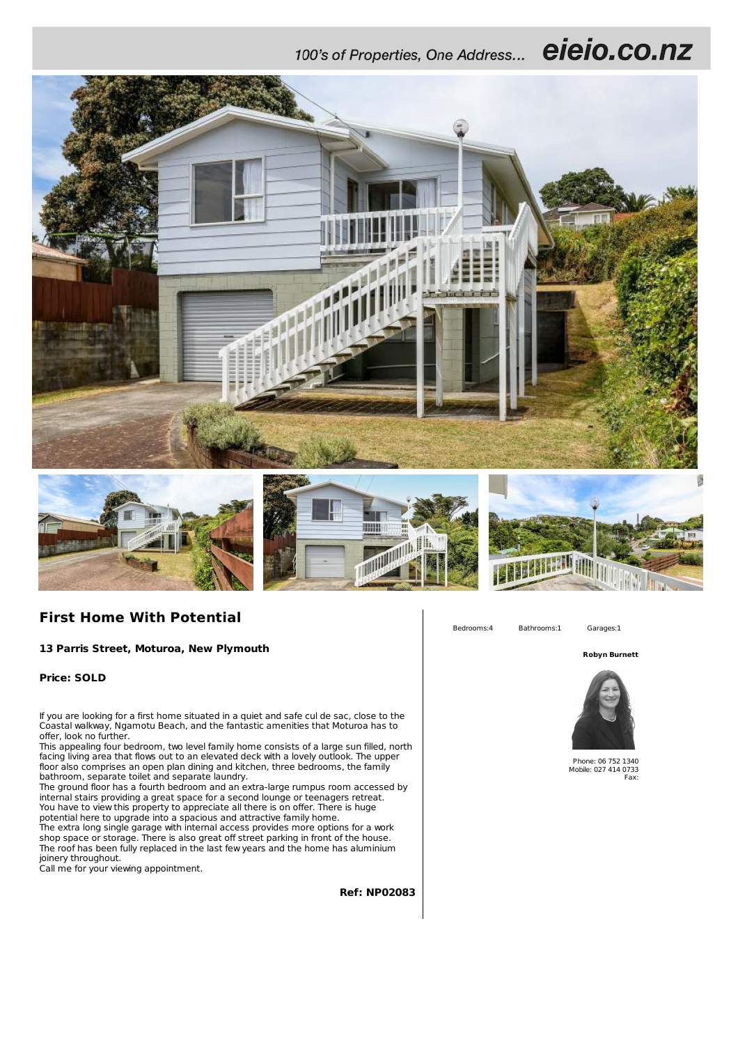100's of Properties, One Address... eieio.co.nz



## **First Home With Potential**

**13 Parris Street, Moturoa, New Plymouth**

**Price: SOLD**

If you are looking for a first home situated in a quiet and safe cul de sac, close to the Coastal walkway, Ngamotu Beach, and the fantastic amenities that Moturoa has to offer, look no further.

This appealing four bedroom, two level family home consists of a large sun filled, north facing living area that flows out to an elevated deck with a lovely outlook. The upper floor also comprises an open plan dining and kitchen, three bedrooms, the family bathroom, separate toilet and separate laundry.

The ground floor has a fourth bedroom and an extra-large rumpus room accessed by internal stairs providing a great space for a second lounge or teenagers retreat. You have to view this property to appreciate all there is on offer. There is huge potential here to upgrade into a spacious and attractive family home. The extra long single garage with internal access provides more options for a work shop space or storage. There is also great off street parking in front of the house. The roof has been fully replaced in the last few years and the home has aluminium joinery throughout.

Call me for your viewing appointment.

**Ref: NP02083**



Bedrooms:4 Bathrooms:1 Garages:1

**Robyn Burnett**



Phone: 06 752 1340 Mobile: 027 414 0733 Fax: